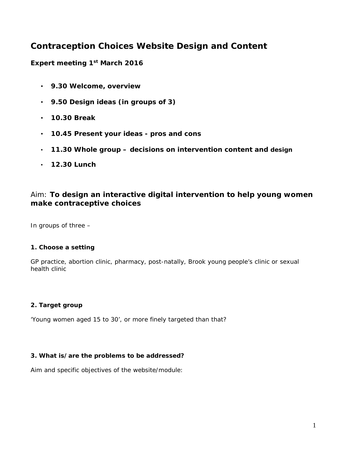# **Contraception Choices Website Design and Content**

**Expert meeting 1st March 2016**

- **9.30 Welcome, overview**
- **9.50 Design ideas (in groups of 3)**
- **10.30 Break**
- **10.45 Present your ideas - pros and cons**
- **11.30 Whole group – decisions on intervention content and design**
- **12.30 Lunch**

### Aim: **To design an interactive digital intervention to help young women make contraceptive choices**

In groups of three –

#### **1. Choose a setting**

GP practice, abortion clinic, pharmacy, post-natally, Brook young people's clinic or sexual health clinic

#### **2. Target group**

'Young women aged 15 to 30', or more finely targeted than that?

#### **3. What is/are the problems to be addressed?**

Aim and specific objectives of the website/module: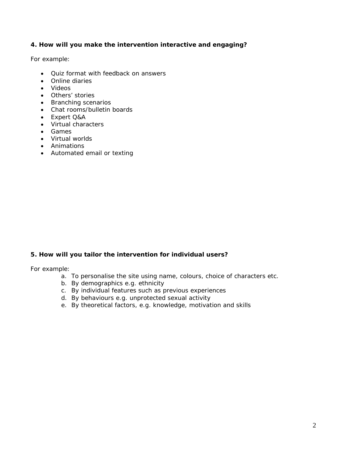#### **4. How will you make the intervention interactive and engaging?**

For example:

- Quiz format with feedback on answers
- Online diaries
- Videos
- Others' stories
- Branching scenarios
- Chat rooms/bulletin boards
- Expert Q&A
- Virtual characters
- Games
- Virtual worlds
- Animations
- Automated email or texting

#### **5. How will you tailor the intervention for individual users?**

For example:

- a. To personalise the site using name, colours, choice of characters etc.
- b. By demographics e.g. ethnicity
- c. By individual features such as previous experiences
- d. By behaviours e.g. unprotected sexual activity
- e. By theoretical factors, e.g. knowledge, motivation and skills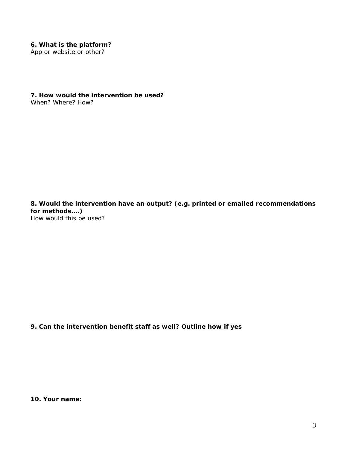#### **6. What is the platform?**

App or website or other?

**7. How would the intervention be used?**  When? Where? How?

**8. Would the intervention have an output? (e.g. printed or emailed recommendations for methods....)** How would this be used?

**9. Can the intervention benefit staff as well? Outline how if yes**

**10. Your name:**